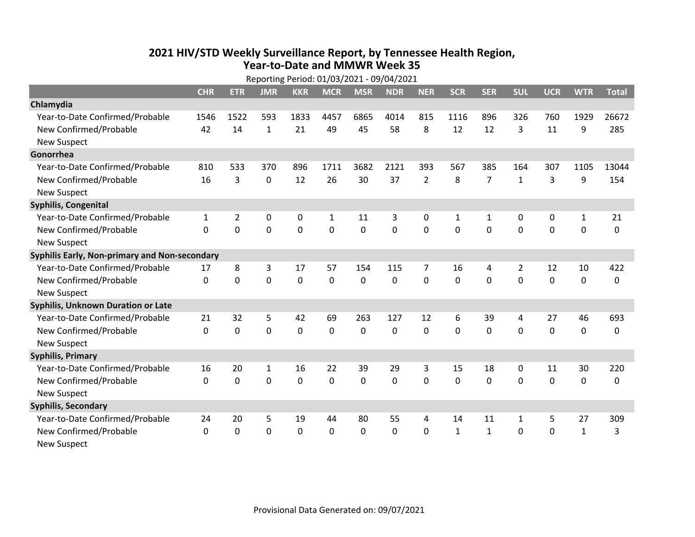## **2021 HIV /STD Weekly Surveillance Report, by Tennessee Health Region, Year‐to‐Date and MMWR Week 35** Reporting Period: 01/03/2021 ‐ 09/04/2021

|                                               | Reporting Period: 01/03/2021 - 09/04/2021 |             |              |                |              |             |            |                |              |                |              |             |              |              |
|-----------------------------------------------|-------------------------------------------|-------------|--------------|----------------|--------------|-------------|------------|----------------|--------------|----------------|--------------|-------------|--------------|--------------|
|                                               | <b>CHR</b>                                | <b>ETR</b>  | <b>JMR</b>   | <b>KKR</b>     | <b>MCR</b>   | <b>MSR</b>  | <b>NDR</b> | <b>NER</b>     | <b>SCR</b>   | <b>SER</b>     | <b>SUL</b>   | <b>UCR</b>  | <b>WTR</b>   | <b>Total</b> |
| Chlamydia                                     |                                           |             |              |                |              |             |            |                |              |                |              |             |              |              |
| Year-to-Date Confirmed/Probable               | 1546                                      | 1522        | 593          | 1833           | 4457         | 6865        | 4014       | 815            | 1116         | 896            | 326          | 760         | 1929         | 26672        |
| New Confirmed/Probable                        | 42                                        | 14          | $\mathbf{1}$ | 21             | 49           | 45          | 58         | 8              | 12           | 12             | 3            | 11          | 9            | 285          |
| <b>New Suspect</b>                            |                                           |             |              |                |              |             |            |                |              |                |              |             |              |              |
| Gonorrhea                                     |                                           |             |              |                |              |             |            |                |              |                |              |             |              |              |
| Year-to-Date Confirmed/Probable               | 810                                       | 533         | 370          | 896            | 1711         | 3682        | 2121       | 393            | 567          | 385            | 164          | 307         | 1105         | 13044        |
| New Confirmed/Probable                        | 16                                        | 3           | 0            | 12             | 26           | 30          | 37         | $\overline{2}$ | 8            | $\overline{7}$ | $\mathbf{1}$ | 3           | 9            | 154          |
| <b>New Suspect</b>                            |                                           |             |              |                |              |             |            |                |              |                |              |             |              |              |
| <b>Syphilis, Congenital</b>                   |                                           |             |              |                |              |             |            |                |              |                |              |             |              |              |
| Year-to-Date Confirmed/Probable               | $\mathbf{1}$                              | 2           | 0            | 0              | $\mathbf{1}$ | 11          | 3          | 0              | $\mathbf{1}$ | 1              | 0            | 0           | $\mathbf{1}$ | 21           |
| New Confirmed/Probable                        | $\Omega$                                  | 0           | 0            | $\overline{0}$ | $\mathbf 0$  | $\mathbf 0$ | 0          | $\Omega$       | $\Omega$     | $\Omega$       | $\mathbf 0$  | $\mathbf 0$ | $\mathbf 0$  | 0            |
| <b>New Suspect</b>                            |                                           |             |              |                |              |             |            |                |              |                |              |             |              |              |
| Syphilis Early, Non-primary and Non-secondary |                                           |             |              |                |              |             |            |                |              |                |              |             |              |              |
| Year-to-Date Confirmed/Probable               | 17                                        | 8           | 3            | 17             | 57           | 154         | 115        | 7              | 16           | 4              | 2            | 12          | 10           | 422          |
| New Confirmed/Probable                        | $\mathbf{0}$                              | 0           | 0            | 0              | $\mathbf 0$  | 0           | 0          | $\Omega$       | $\Omega$     | 0              | 0            | 0           | $\mathbf 0$  | 0            |
| <b>New Suspect</b>                            |                                           |             |              |                |              |             |            |                |              |                |              |             |              |              |
| Syphilis, Unknown Duration or Late            |                                           |             |              |                |              |             |            |                |              |                |              |             |              |              |
| Year-to-Date Confirmed/Probable               | 21                                        | 32          | 5            | 42             | 69           | 263         | 127        | 12             | 6            | 39             | 4            | 27          | 46           | 693          |
| New Confirmed/Probable                        | $\mathbf 0$                               | 0           | 0            | 0              | $\mathbf 0$  | $\mathbf 0$ | 0          | $\mathbf 0$    | $\Omega$     | 0              | 0            | 0           | $\mathbf 0$  | 0            |
| <b>New Suspect</b>                            |                                           |             |              |                |              |             |            |                |              |                |              |             |              |              |
| <b>Syphilis, Primary</b>                      |                                           |             |              |                |              |             |            |                |              |                |              |             |              |              |
| Year-to-Date Confirmed/Probable               | 16                                        | 20          | 1            | 16             | 22           | 39          | 29         | 3              | 15           | 18             | 0            | 11          | 30           | 220          |
| New Confirmed/Probable                        | $\mathbf 0$                               | $\mathbf 0$ | 0            | 0              | $\mathbf 0$  | 0           | 0          | $\Omega$       | $\Omega$     | 0              | 0            | $\mathbf 0$ | $\mathbf 0$  | 0            |
| <b>New Suspect</b>                            |                                           |             |              |                |              |             |            |                |              |                |              |             |              |              |
| <b>Syphilis, Secondary</b>                    |                                           |             |              |                |              |             |            |                |              |                |              |             |              |              |
| Year-to-Date Confirmed/Probable               | 24                                        | 20          | 5            | 19             | 44           | 80          | 55         | 4              | 14           | 11             | $\mathbf{1}$ | 5           | 27           | 309          |
| New Confirmed/Probable                        | $\mathbf{0}$                              | 0           | 0            | 0              | 0            | 0           | 0          | $\mathbf{0}$   | $\mathbf{1}$ | $\mathbf{1}$   | 0            | 0           | $\mathbf{1}$ | 3            |
| <b>New Suspect</b>                            |                                           |             |              |                |              |             |            |                |              |                |              |             |              |              |